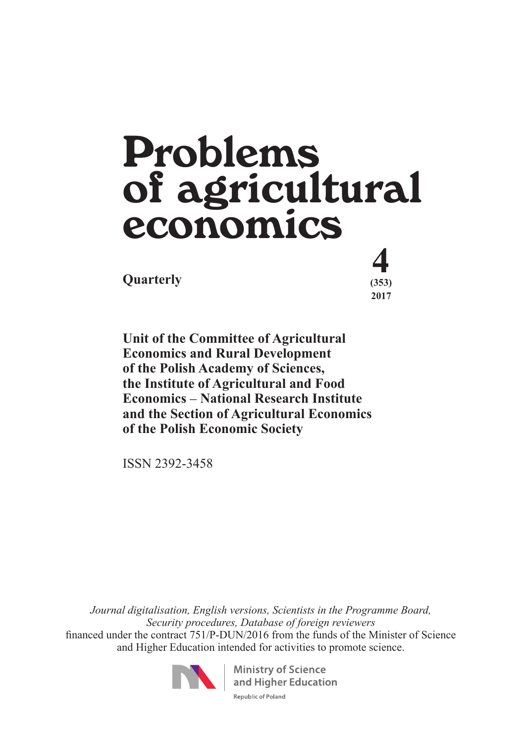# **Quarterly** (353) Problems of agricultural economics

 **(353) 2017**

**Unit of the Committee of Agricultural Economics and Rural Development of the Polish Academy of Sciences, the Institute of Agricultural and Food Economics** – **National Research Institute and the Section of Agricultural Economics of the Polish Economic Society**

ISSN 2392-3458

*Journal digitalisation, English versions, Scientists in the Programme Board, Security procedures, Database of foreign reviewers*  financed under the contract 751/P-DUN/2016 from the funds of the Minister of Science and Higher Education intended for activities to promote science.



**Ministry of Science** and Higher Education Republic of Poland